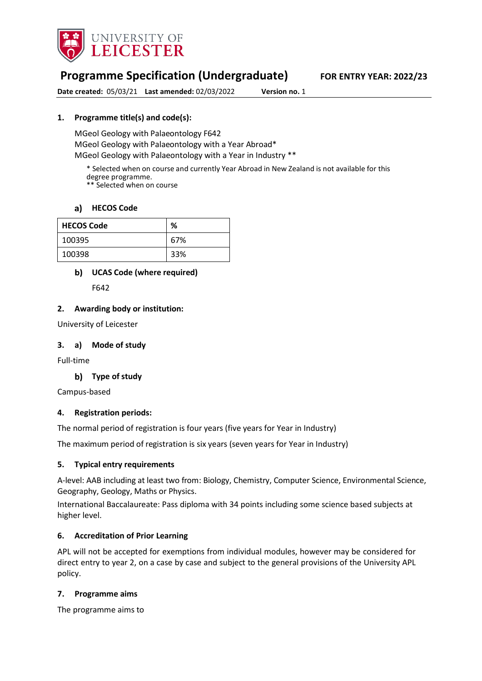

# **Programme Specification (Undergraduate) FOR ENTRY YEAR: 2022/23**

**Date created:** 05/03/21 **Last amended:** 02/03/2022 **Version no.** 1

### **1. Programme title(s) and code(s):**

MGeol Geology with Palaeontology F642 MGeol Geology with Palaeontology with a Year Abroad\* MGeol Geology with Palaeontology with a Year in Industry \*\*

\* Selected when on course and currently Year Abroad in New Zealand is not available for this degree programme. \*\* Selected when on course

#### **[HECOS Code](https://www.hesa.ac.uk/innovation/hecos)**

| <b>HECOS Code</b> | %   |
|-------------------|-----|
| 100395            | 67% |
| 100398            | 33% |

## **UCAS Code (where required)**

F642

### **2. Awarding body or institution:**

University of Leicester

#### **3. a) Mode of study**

Full-time

### **Type of study**

Campus-based

#### **4. Registration periods:**

The normal period of registration is four years (five years for Year in Industry)

The maximum period of registration is six years (seven years for Year in Industry)

#### **5. Typical entry requirements**

A-level: AAB including at least two from: Biology, Chemistry, Computer Science, Environmental Science, Geography, Geology, Maths or Physics.

International Baccalaureate: Pass diploma with 34 points including some science based subjects at higher level.

### **6. Accreditation of Prior Learning**

APL will not be accepted for exemptions from individual modules, however may be considered for direct entry to year 2, on a case by case and subject to the general provisions of the University APL policy.

### **7. Programme aims**

The programme aims to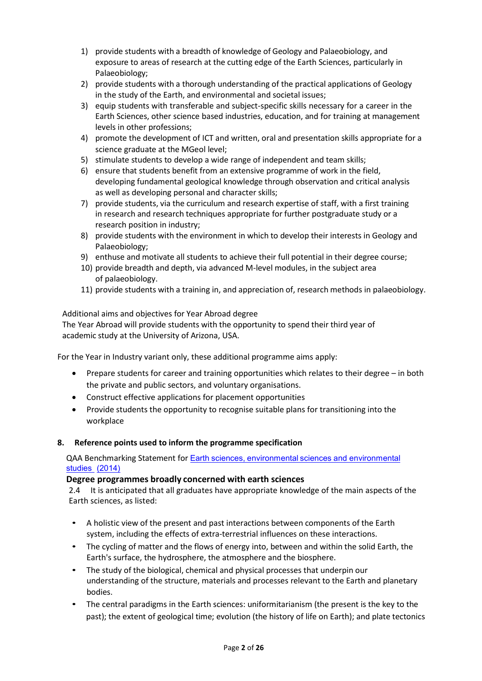- 1) provide students with a breadth of knowledge of Geology and Palaeobiology, and exposure to areas of research at the cutting edge of the Earth Sciences, particularly in Palaeobiology;
- 2) provide students with a thorough understanding of the practical applications of Geology in the study of the Earth, and environmental and societal issues;
- 3) equip students with transferable and subject-specific skills necessary for a career in the Earth Sciences, other science based industries, education, and for training at management levels in other professions;
- 4) promote the development of ICT and written, oral and presentation skills appropriate for a science graduate at the MGeol level;
- 5) stimulate students to develop a wide range of independent and team skills;
- 6) ensure that students benefit from an extensive programme of work in the field, developing fundamental geological knowledge through observation and critical analysis as well as developing personal and character skills;
- 7) provide students, via the curriculum and research expertise of staff, with a first training in research and research techniques appropriate for further postgraduate study or a research position in industry;
- 8) provide students with the environment in which to develop their interests in Geology and Palaeobiology;
- 9) enthuse and motivate all students to achieve their full potential in their degree course;
- 10) provide breadth and depth, via advanced M-level modules, in the subject area of palaeobiology.
- 11) provide students with a training in, and appreciation of, research methods in palaeobiology.

## Additional aims and objectives for Year Abroad degree

The Year Abroad will provide students with the opportunity to spend their third year of academic study at the University of Arizona, USA.

For the Year in Industry variant only, these additional programme aims apply:

- Prepare students for career and training opportunities which relates to their degree in both the private and public sectors, and voluntary organisations.
- Construct effective applications for placement opportunities
- Provide students the opportunity to recognise suitable plans for transitioning into the workplace

### **8. Reference points used to inform the programme specification**

QAA Benchmarking Statement for Earth sciences, [environmental](http://www.qaa.ac.uk/en/Publications/Documents/SBS-earth-sciences-14.pdf) sciences and environmental [studies](http://www.qaa.ac.uk/en/Publications/Documents/SBS-earth-sciences-14.pdf) [\(2014\)](http://www.qaa.ac.uk/en/Publications/Documents/SBS-earth-sciences-14.pdf)

### **Degree programmes broadly concerned with earth sciences**

2.4 It is anticipated that all graduates have appropriate knowledge of the main aspects of the Earth sciences, as listed:

- A holistic view of the present and past interactions between components of the Earth system, including the effects of extra-terrestrial influences on these interactions.
- The cycling of matter and the flows of energy into, between and within the solid Earth, the Earth's surface, the hydrosphere, the atmosphere and the biosphere.
- The study of the biological, chemical and physical processes that underpin our understanding of the structure, materials and processes relevant to the Earth and planetary bodies.
- The central paradigms in the Earth sciences: uniformitarianism (the present is the key to the past); the extent of geological time; evolution (the history of life on Earth); and plate tectonics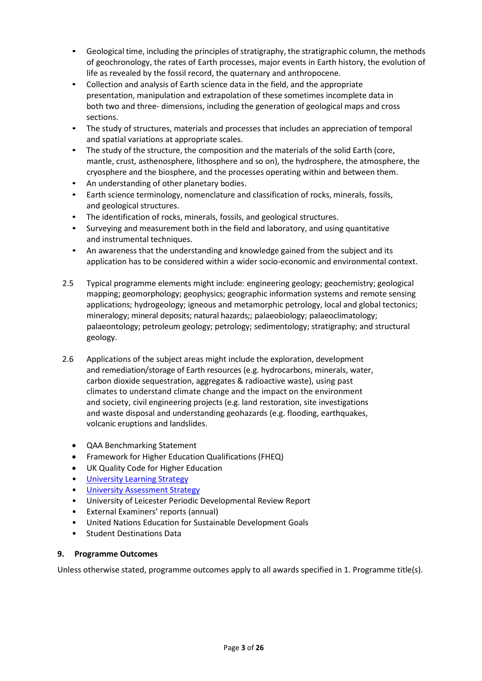- Geological time, including the principles of stratigraphy, the stratigraphic column, the methods of geochronology, the rates of Earth processes, major events in Earth history, the evolution of life as revealed by the fossil record, the quaternary and anthropocene.
- Collection and analysis of Earth science data in the field, and the appropriate presentation, manipulation and extrapolation of these sometimes incomplete data in both two and three- dimensions, including the generation of geological maps and cross sections.
- The study of structures, materials and processes that includes an appreciation of temporal and spatial variations at appropriate scales.
- The study of the structure, the composition and the materials of the solid Earth (core, mantle, crust, asthenosphere, lithosphere and so on), the hydrosphere, the atmosphere, the cryosphere and the biosphere, and the processes operating within and between them.
- An understanding of other planetary bodies.
- Earth science terminology, nomenclature and classification of rocks, minerals, fossils, and geological structures.
- The identification of rocks, minerals, fossils, and geological structures.
- Surveying and measurement both in the field and laboratory, and using quantitative and instrumental techniques.
- An awareness that the understanding and knowledge gained from the subject and its application has to be considered within a wider socio-economic and environmental context.
- 2.5 Typical programme elements might include: engineering geology; geochemistry; geological mapping; geomorphology; geophysics; geographic information systems and remote sensing applications; hydrogeology; igneous and metamorphic petrology, local and global tectonics; mineralogy; mineral deposits; natural hazards;; palaeobiology; palaeoclimatology; palaeontology; petroleum geology; petrology; sedimentology; stratigraphy; and structural geology.
- 2.6 Applications of the subject areas might include the exploration, development and remediation/storage of Earth resources (e.g. hydrocarbons, minerals, water, carbon dioxide sequestration, aggregates & radioactive waste), using past climates to understand climate change and the impact on the environment and society, civil engineering projects (e.g. land restoration, site investigations and waste disposal and understanding geohazards (e.g. flooding, earthquakes, volcanic eruptions and landslides.
	- QAA Benchmarking Statement
	- Framework for Higher Education Qualifications (FHEQ)
	- UK Quality Code for Higher Education
	- University Learnin[g Strategy](https://www2.le.ac.uk/offices/sas2/quality/learnteach)
	- [University Assessment Strategy](https://www2.le.ac.uk/offices/sas2/quality/learnteach)
	- University of Leicester Periodic Developmental Review Report
	- External Examiners' reports (annual)
	- United Nations Education for Sustainable Development Goals
	- Student Destinations Data

#### **9. Programme Outcomes**

Unless otherwise stated, programme outcomes apply to all awards specified in 1. Programme title(s).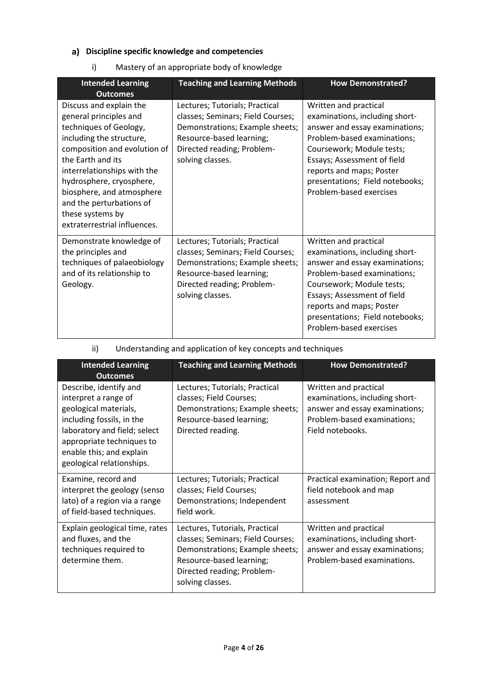# **Discipline specific knowledge and competencies**

| Mastery of an appropriate body of knowledge | i) |  |  |  |  |
|---------------------------------------------|----|--|--|--|--|
|---------------------------------------------|----|--|--|--|--|

| <b>Intended Learning</b><br><b>Outcomes</b>                                                                                                                                                                                                                                                                                          | <b>Teaching and Learning Methods</b>                                                                                                                                                 | <b>How Demonstrated?</b>                                                                                                                                                                                                                                                       |
|--------------------------------------------------------------------------------------------------------------------------------------------------------------------------------------------------------------------------------------------------------------------------------------------------------------------------------------|--------------------------------------------------------------------------------------------------------------------------------------------------------------------------------------|--------------------------------------------------------------------------------------------------------------------------------------------------------------------------------------------------------------------------------------------------------------------------------|
| Discuss and explain the<br>general principles and<br>techniques of Geology,<br>including the structure,<br>composition and evolution of<br>the Earth and its<br>interrelationships with the<br>hydrosphere, cryosphere,<br>biosphere, and atmosphere<br>and the perturbations of<br>these systems by<br>extraterrestrial influences. | Lectures; Tutorials; Practical<br>classes; Seminars; Field Courses;<br>Demonstrations; Example sheets;<br>Resource-based learning;<br>Directed reading; Problem-<br>solving classes. | Written and practical<br>examinations, including short-<br>answer and essay examinations;<br>Problem-based examinations;<br>Coursework; Module tests;<br>Essays; Assessment of field<br>reports and maps; Poster<br>presentations; Field notebooks;<br>Problem-based exercises |
| Demonstrate knowledge of<br>the principles and<br>techniques of palaeobiology<br>and of its relationship to<br>Geology.                                                                                                                                                                                                              | Lectures; Tutorials; Practical<br>classes; Seminars; Field Courses;<br>Demonstrations; Example sheets;<br>Resource-based learning;<br>Directed reading; Problem-<br>solving classes. | Written and practical<br>examinations, including short-<br>answer and essay examinations;<br>Problem-based examinations;<br>Coursework; Module tests;<br>Essays; Assessment of field<br>reports and maps; Poster<br>presentations; Field notebooks;<br>Problem-based exercises |

# ii) Understanding and application of key concepts and techniques

| <b>Intended Learning</b><br><b>Outcomes</b>                                                                                                                                                                                | <b>Teaching and Learning Methods</b>                                                                                                                                                 | <b>How Demonstrated?</b>                                                                                                                     |
|----------------------------------------------------------------------------------------------------------------------------------------------------------------------------------------------------------------------------|--------------------------------------------------------------------------------------------------------------------------------------------------------------------------------------|----------------------------------------------------------------------------------------------------------------------------------------------|
| Describe, identify and<br>interpret a range of<br>geological materials,<br>including fossils, in the<br>laboratory and field; select<br>appropriate techniques to<br>enable this; and explain<br>geological relationships. | Lectures; Tutorials; Practical<br>classes; Field Courses;<br>Demonstrations; Example sheets;<br>Resource-based learning;<br>Directed reading.                                        | Written and practical<br>examinations, including short-<br>answer and essay examinations;<br>Problem-based examinations;<br>Field notebooks. |
| Examine, record and<br>interpret the geology (senso<br>lato) of a region via a range<br>of field-based techniques.                                                                                                         | Lectures; Tutorials; Practical<br>classes; Field Courses;<br>Demonstrations; Independent<br>field work.                                                                              | Practical examination; Report and<br>field notebook and map<br>assessment                                                                    |
| Explain geological time, rates<br>and fluxes, and the<br>techniques required to<br>determine them.                                                                                                                         | Lectures, Tutorials, Practical<br>classes; Seminars; Field Courses;<br>Demonstrations; Example sheets;<br>Resource-based learning;<br>Directed reading; Problem-<br>solving classes. | Written and practical<br>examinations, including short-<br>answer and essay examinations;<br>Problem-based examinations.                     |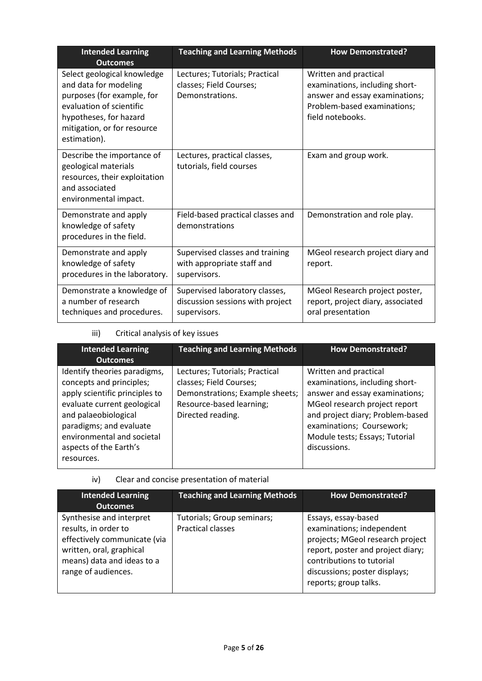| <b>Intended Learning</b><br><b>Outcomes</b>                                                                                                                                             | <b>Teaching and Learning Methods</b>                                               | <b>How Demonstrated?</b>                                                                                                                     |
|-----------------------------------------------------------------------------------------------------------------------------------------------------------------------------------------|------------------------------------------------------------------------------------|----------------------------------------------------------------------------------------------------------------------------------------------|
| Select geological knowledge<br>and data for modeling<br>purposes (for example, for<br>evaluation of scientific<br>hypotheses, for hazard<br>mitigation, or for resource<br>estimation). | Lectures; Tutorials; Practical<br>classes; Field Courses;<br>Demonstrations.       | Written and practical<br>examinations, including short-<br>answer and essay examinations;<br>Problem-based examinations;<br>field notebooks. |
| Describe the importance of<br>geological materials<br>resources, their exploitation<br>and associated<br>environmental impact.                                                          | Lectures, practical classes,<br>tutorials, field courses                           | Exam and group work.                                                                                                                         |
| Demonstrate and apply<br>knowledge of safety<br>procedures in the field.                                                                                                                | Field-based practical classes and<br>demonstrations                                | Demonstration and role play.                                                                                                                 |
| Demonstrate and apply<br>knowledge of safety<br>procedures in the laboratory.                                                                                                           | Supervised classes and training<br>with appropriate staff and<br>supervisors.      | MGeol research project diary and<br>report.                                                                                                  |
| Demonstrate a knowledge of<br>a number of research<br>techniques and procedures.                                                                                                        | Supervised laboratory classes,<br>discussion sessions with project<br>supervisors. | MGeol Research project poster,<br>report, project diary, associated<br>oral presentation                                                     |

iii) Critical analysis of key issues

| <b>Intended Learning</b><br><b>Outcomes</b>                                                                                                                                                                                                        | <b>Teaching and Learning Methods</b>                                                                                                          | <b>How Demonstrated?</b>                                                                                                                                                                                                                      |
|----------------------------------------------------------------------------------------------------------------------------------------------------------------------------------------------------------------------------------------------------|-----------------------------------------------------------------------------------------------------------------------------------------------|-----------------------------------------------------------------------------------------------------------------------------------------------------------------------------------------------------------------------------------------------|
| Identify theories paradigms,<br>concepts and principles;<br>apply scientific principles to<br>evaluate current geological<br>and palaeobiological<br>paradigms; and evaluate<br>environmental and societal<br>aspects of the Earth's<br>resources. | Lectures; Tutorials; Practical<br>classes; Field Courses;<br>Demonstrations; Example sheets;<br>Resource-based learning;<br>Directed reading. | Written and practical<br>examinations, including short-<br>answer and essay examinations;<br>MGeol research project report<br>and project diary; Problem-based<br>examinations; Coursework;<br>Module tests; Essays; Tutorial<br>discussions. |

iv) Clear and concise presentation of material

| <b>Intended Learning</b>                                                                                                                                          | <b>Teaching and Learning Methods</b>                   | <b>How Demonstrated?</b>                                                                                                                                                                                         |
|-------------------------------------------------------------------------------------------------------------------------------------------------------------------|--------------------------------------------------------|------------------------------------------------------------------------------------------------------------------------------------------------------------------------------------------------------------------|
| <b>Outcomes</b>                                                                                                                                                   |                                                        |                                                                                                                                                                                                                  |
| Synthesise and interpret<br>results, in order to<br>effectively communicate (via<br>written, oral, graphical<br>means) data and ideas to a<br>range of audiences. | Tutorials; Group seminars;<br><b>Practical classes</b> | Essays, essay-based<br>examinations; independent<br>projects; MGeol research project<br>report, poster and project diary;<br>contributions to tutorial<br>discussions; poster displays;<br>reports; group talks. |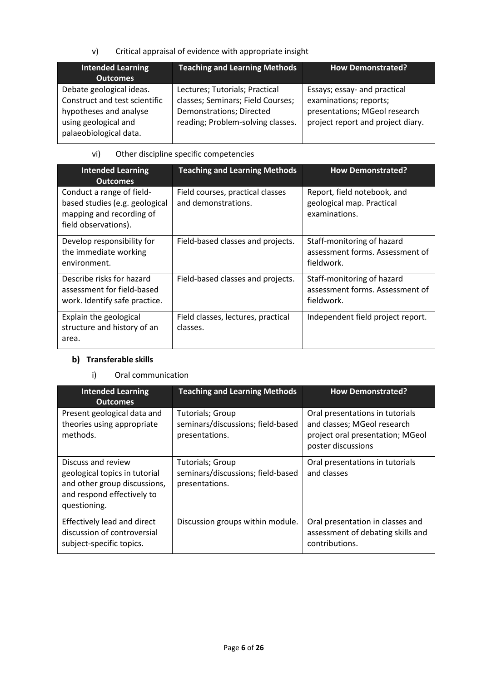v) Critical appraisal of evidence with appropriate insight

| <b>Intended Learning</b><br><b>Outcomes</b>                                                                                           | <b>Teaching and Learning Methods</b>                                                                                                 | <b>How Demonstrated?</b>                                                                                                     |
|---------------------------------------------------------------------------------------------------------------------------------------|--------------------------------------------------------------------------------------------------------------------------------------|------------------------------------------------------------------------------------------------------------------------------|
| Debate geological ideas.<br>Construct and test scientific<br>hypotheses and analyse<br>using geological and<br>palaeobiological data. | Lectures; Tutorials; Practical<br>classes; Seminars; Field Courses;<br>Demonstrations; Directed<br>reading; Problem-solving classes. | Essays; essay- and practical<br>examinations; reports;<br>presentations; MGeol research<br>project report and project diary. |

vi) Other discipline specific competencies

| <b>Intended Learning</b><br><b>Outcomes</b>                                                                     | <b>Teaching and Learning Methods</b>                    | <b>How Demonstrated?</b>                                                    |
|-----------------------------------------------------------------------------------------------------------------|---------------------------------------------------------|-----------------------------------------------------------------------------|
| Conduct a range of field-<br>based studies (e.g. geological<br>mapping and recording of<br>field observations). | Field courses, practical classes<br>and demonstrations. | Report, field notebook, and<br>geological map. Practical<br>examinations.   |
| Develop responsibility for<br>the immediate working<br>environment.                                             | Field-based classes and projects.                       | Staff-monitoring of hazard<br>assessment forms. Assessment of<br>fieldwork. |
| Describe risks for hazard<br>assessment for field-based<br>work. Identify safe practice.                        | Field-based classes and projects.                       | Staff-monitoring of hazard<br>assessment forms. Assessment of<br>fieldwork. |
| Explain the geological<br>structure and history of an<br>area.                                                  | Field classes, lectures, practical<br>classes.          | Independent field project report.                                           |

# **Transferable skills**

# i) Oral communication

| <b>Intended Learning</b><br><b>Outcomes</b>                                                                                       | <b>Teaching and Learning Methods</b>                                           | <b>How Demonstrated?</b>                                                                                                 |
|-----------------------------------------------------------------------------------------------------------------------------------|--------------------------------------------------------------------------------|--------------------------------------------------------------------------------------------------------------------------|
| Present geological data and<br>theories using appropriate<br>methods.                                                             | <b>Tutorials; Group</b><br>seminars/discussions; field-based<br>presentations. | Oral presentations in tutorials<br>and classes; MGeol research<br>project oral presentation; MGeol<br>poster discussions |
| Discuss and review<br>geological topics in tutorial<br>and other group discussions,<br>and respond effectively to<br>questioning. | <b>Tutorials; Group</b><br>seminars/discussions; field-based<br>presentations. | Oral presentations in tutorials<br>and classes                                                                           |
| Effectively lead and direct<br>discussion of controversial<br>subject-specific topics.                                            | Discussion groups within module.                                               | Oral presentation in classes and<br>assessment of debating skills and<br>contributions.                                  |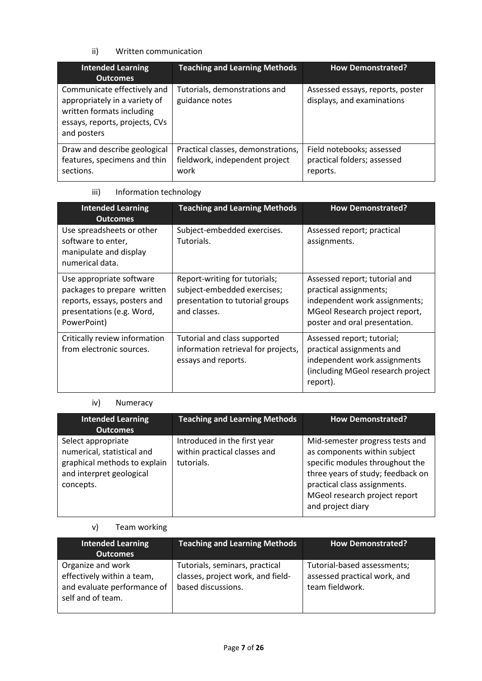### ii) Written communication

| <b>Intended Learning</b><br><b>Outcomes</b>                                                                                                | <b>Teaching and Learning Methods</b>                                         | <b>How Demonstrated?</b>                                             |
|--------------------------------------------------------------------------------------------------------------------------------------------|------------------------------------------------------------------------------|----------------------------------------------------------------------|
| Communicate effectively and<br>appropriately in a variety of<br>written formats including<br>essays, reports, projects, CVs<br>and posters | Tutorials, demonstrations and<br>guidance notes                              | Assessed essays, reports, poster<br>displays, and examinations       |
| Draw and describe geological<br>features, specimens and thin<br>sections.                                                                  | Practical classes, demonstrations,<br>fieldwork, independent project<br>work | Field notebooks; assessed<br>practical folders; assessed<br>reports. |

# iii) Information technology

| <b>Intended Learning</b><br><b>Outcomes</b>                                                                                         | <b>Teaching and Learning Methods</b>                                                                            | <b>How Demonstrated?</b>                                                                                                                                    |
|-------------------------------------------------------------------------------------------------------------------------------------|-----------------------------------------------------------------------------------------------------------------|-------------------------------------------------------------------------------------------------------------------------------------------------------------|
| Use spreadsheets or other<br>software to enter,<br>manipulate and display<br>numerical data.                                        | Subject-embedded exercises.<br>Tutorials.                                                                       | Assessed report; practical<br>assignments.                                                                                                                  |
| Use appropriate software<br>packages to prepare written<br>reports, essays, posters and<br>presentations (e.g. Word,<br>PowerPoint) | Report-writing for tutorials;<br>subject-embedded exercises;<br>presentation to tutorial groups<br>and classes. | Assessed report; tutorial and<br>practical assignments;<br>independent work assignments;<br>MGeol Research project report,<br>poster and oral presentation. |
| Critically review information<br>from electronic sources.                                                                           | Tutorial and class supported<br>information retrieval for projects,<br>essays and reports.                      | Assessed report; tutorial;<br>practical assignments and<br>independent work assignments<br>(including MGeol research project<br>report).                    |

# iv) Numeracy

| <b>Intended Learning</b><br><b>Outcomes</b>                                                                               | <b>Teaching and Learning Methods</b>                                       | <b>How Demonstrated?</b>                                                                                                                                                                                                      |
|---------------------------------------------------------------------------------------------------------------------------|----------------------------------------------------------------------------|-------------------------------------------------------------------------------------------------------------------------------------------------------------------------------------------------------------------------------|
| Select appropriate<br>numerical, statistical and<br>graphical methods to explain<br>and interpret geological<br>concepts. | Introduced in the first year<br>within practical classes and<br>tutorials. | Mid-semester progress tests and<br>as components within subject<br>specific modules throughout the<br>three years of study; feedback on<br>practical class assignments.<br>MGeol research project report<br>and project diary |

# v) Team working

| <b>Intended Learning</b><br><b>Outcomes</b>                                                         | <b>Teaching and Learning Methods</b>                                                      | <b>How Demonstrated?</b>                                                       |
|-----------------------------------------------------------------------------------------------------|-------------------------------------------------------------------------------------------|--------------------------------------------------------------------------------|
| Organize and work<br>effectively within a team,<br>and evaluate performance of<br>self and of team. | Tutorials, seminars, practical<br>classes, project work, and field-<br>based discussions. | Tutorial-based assessments;<br>assessed practical work, and<br>team fieldwork. |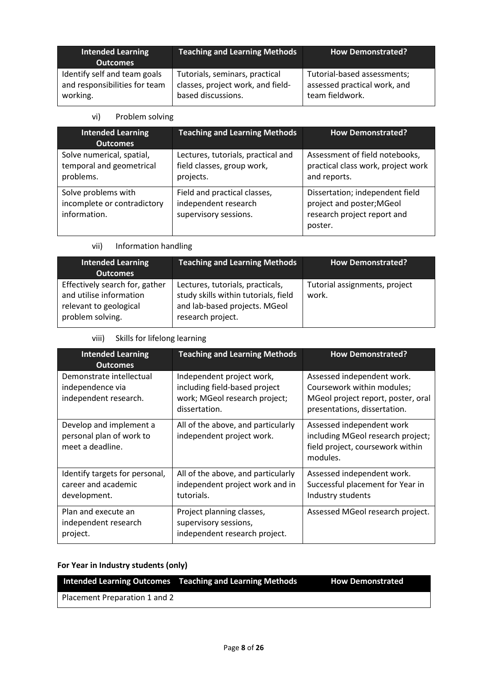| <b>Intended Learning</b><br><b>Outcomes</b> | <b>Teaching and Learning Methods</b> | <b>How Demonstrated?</b>     |
|---------------------------------------------|--------------------------------------|------------------------------|
| Identify self and team goals                | Tutorials, seminars, practical       | Tutorial-based assessments;  |
| and responsibilities for team               | classes, project work, and field-    | assessed practical work, and |
| working.                                    | based discussions.                   | team fieldwork.              |

# vi) Problem solving

| <b>Intended Learning</b><br><b>Outcomes</b>                        | <b>Teaching and Learning Methods</b>                                          | <b>How Demonstrated?</b>                                                                               |  |
|--------------------------------------------------------------------|-------------------------------------------------------------------------------|--------------------------------------------------------------------------------------------------------|--|
| Solve numerical, spatial,<br>temporal and geometrical<br>problems. | Lectures, tutorials, practical and<br>field classes, group work,<br>projects. | Assessment of field notebooks,<br>practical class work, project work<br>and reports.                   |  |
| Solve problems with<br>incomplete or contradictory<br>information. | Field and practical classes,<br>independent research<br>supervisory sessions. | Dissertation; independent field<br>project and poster; MGeol<br>research project report and<br>poster. |  |

vii) Information handling

| <b>Intended Learning</b><br><b>Outcomes</b>                                                             | <b>Teaching and Learning Methods</b>                                                                                           | <b>How Demonstrated?</b>               |
|---------------------------------------------------------------------------------------------------------|--------------------------------------------------------------------------------------------------------------------------------|----------------------------------------|
| Effectively search for, gather<br>and utilise information<br>relevant to geological<br>problem solving. | Lectures, tutorials, practicals,<br>study skills within tutorials, field<br>and lab-based projects. MGeol<br>research project. | Tutorial assignments, project<br>work. |

viii) Skills for lifelong learning

| <b>Intended Learning</b><br><b>Outcomes</b>                             | <b>Teaching and Learning Methods</b>                                                                         | <b>How Demonstrated?</b>                                                                                                       |  |
|-------------------------------------------------------------------------|--------------------------------------------------------------------------------------------------------------|--------------------------------------------------------------------------------------------------------------------------------|--|
| Demonstrate intellectual<br>independence via<br>independent research.   | Independent project work,<br>including field-based project<br>work; MGeol research project;<br>dissertation. | Assessed independent work.<br>Coursework within modules;<br>MGeol project report, poster, oral<br>presentations, dissertation. |  |
| Develop and implement a<br>personal plan of work to<br>meet a deadline. | All of the above, and particularly<br>independent project work.                                              | Assessed independent work<br>including MGeol research project;<br>field project, coursework within<br>modules.                 |  |
| Identify targets for personal,<br>career and academic<br>development.   | All of the above, and particularly<br>independent project work and in<br>tutorials.                          | Assessed independent work.<br>Successful placement for Year in<br>Industry students                                            |  |
| Plan and execute an<br>independent research<br>project.                 | Project planning classes,<br>supervisory sessions,<br>independent research project.                          | Assessed MGeol research project.                                                                                               |  |

# **For Year in Industry students (only)**

|                               | Intended Learning Outcomes Teaching and Learning Methods | <b>How Demonstrated</b> |
|-------------------------------|----------------------------------------------------------|-------------------------|
| Placement Preparation 1 and 2 |                                                          |                         |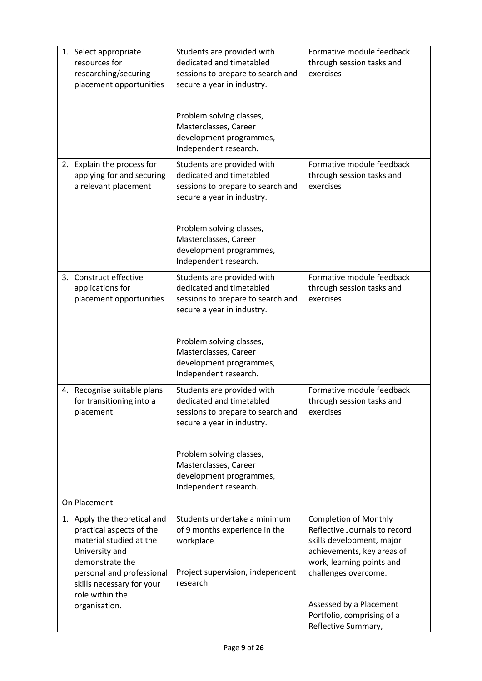| 1. Select appropriate<br>resources for<br>researching/securing<br>placement opportunities                                                                                                             | Students are provided with<br>dedicated and timetabled<br>sessions to prepare to search and<br>secure a year in industry.   | Formative module feedback<br>through session tasks and<br>exercises                                                                                                           |
|-------------------------------------------------------------------------------------------------------------------------------------------------------------------------------------------------------|-----------------------------------------------------------------------------------------------------------------------------|-------------------------------------------------------------------------------------------------------------------------------------------------------------------------------|
|                                                                                                                                                                                                       | Problem solving classes,<br>Masterclasses, Career<br>development programmes,<br>Independent research.                       |                                                                                                                                                                               |
| 2. Explain the process for<br>applying for and securing<br>a relevant placement                                                                                                                       | Students are provided with<br>dedicated and timetabled<br>sessions to prepare to search and<br>secure a year in industry.   | Formative module feedback<br>through session tasks and<br>exercises                                                                                                           |
|                                                                                                                                                                                                       | Problem solving classes,<br>Masterclasses, Career<br>development programmes,<br>Independent research.                       |                                                                                                                                                                               |
| 3. Construct effective<br>applications for<br>placement opportunities                                                                                                                                 | Students are provided with<br>dedicated and timetabled<br>sessions to prepare to search and<br>secure a year in industry.   | Formative module feedback<br>through session tasks and<br>exercises                                                                                                           |
|                                                                                                                                                                                                       | Problem solving classes,<br>Masterclasses, Career<br>development programmes,<br>Independent research.                       |                                                                                                                                                                               |
| 4. Recognise suitable plans<br>for transitioning into a<br>placement                                                                                                                                  | Students are provided with<br>dedicated and timetabled<br>sessions to prepare to search and<br>secure a year in industry.   | Formative module feedback<br>through session tasks and<br>exercises                                                                                                           |
|                                                                                                                                                                                                       | Problem solving classes,<br>Masterclasses, Career<br>development programmes,<br>Independent research.                       |                                                                                                                                                                               |
| On Placement                                                                                                                                                                                          |                                                                                                                             |                                                                                                                                                                               |
| 1. Apply the theoretical and<br>practical aspects of the<br>material studied at the<br>University and<br>demonstrate the<br>personal and professional<br>skills necessary for your<br>role within the | Students undertake a minimum<br>of 9 months experience in the<br>workplace.<br>Project supervision, independent<br>research | <b>Completion of Monthly</b><br>Reflective Journals to record<br>skills development, major<br>achievements, key areas of<br>work, learning points and<br>challenges overcome. |
| organisation.                                                                                                                                                                                         |                                                                                                                             | Assessed by a Placement<br>Portfolio, comprising of a<br>Reflective Summary,                                                                                                  |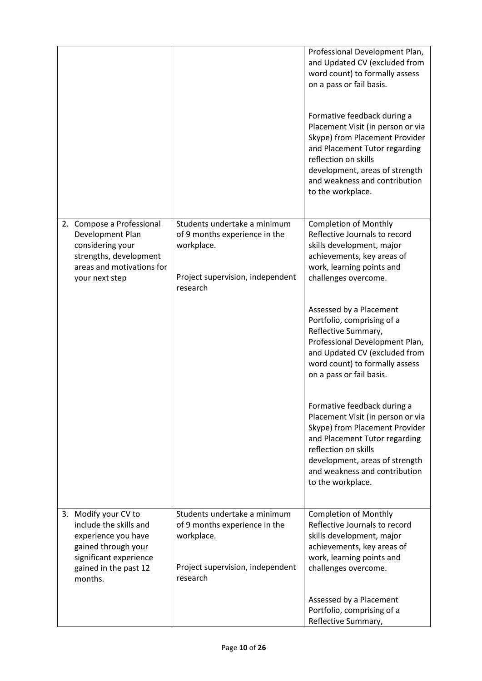|                                                                                                                                                            |                                                                                                                             | Professional Development Plan,<br>and Updated CV (excluded from<br>word count) to formally assess<br>on a pass or fail basis.<br>Formative feedback during a<br>Placement Visit (in person or via<br>Skype) from Placement Provider<br>and Placement Tutor regarding<br>reflection on skills<br>development, areas of strength<br>and weakness and contribution<br>to the workplace.                                                                                                                                                                                                                                                                  |
|------------------------------------------------------------------------------------------------------------------------------------------------------------|-----------------------------------------------------------------------------------------------------------------------------|-------------------------------------------------------------------------------------------------------------------------------------------------------------------------------------------------------------------------------------------------------------------------------------------------------------------------------------------------------------------------------------------------------------------------------------------------------------------------------------------------------------------------------------------------------------------------------------------------------------------------------------------------------|
| 2. Compose a Professional<br>Development Plan<br>considering your<br>strengths, development<br>areas and motivations for<br>your next step                 | Students undertake a minimum<br>of 9 months experience in the<br>workplace.<br>Project supervision, independent<br>research | <b>Completion of Monthly</b><br>Reflective Journals to record<br>skills development, major<br>achievements, key areas of<br>work, learning points and<br>challenges overcome.<br>Assessed by a Placement<br>Portfolio, comprising of a<br>Reflective Summary,<br>Professional Development Plan,<br>and Updated CV (excluded from<br>word count) to formally assess<br>on a pass or fail basis.<br>Formative feedback during a<br>Placement Visit (in person or via<br>Skype) from Placement Provider<br>and Placement Tutor regarding<br>reflection on skills<br>development, areas of strength<br>and weakness and contribution<br>to the workplace. |
| 3. Modify your CV to<br>include the skills and<br>experience you have<br>gained through your<br>significant experience<br>gained in the past 12<br>months. | Students undertake a minimum<br>of 9 months experience in the<br>workplace.<br>Project supervision, independent<br>research | <b>Completion of Monthly</b><br>Reflective Journals to record<br>skills development, major<br>achievements, key areas of<br>work, learning points and<br>challenges overcome.<br>Assessed by a Placement<br>Portfolio, comprising of a<br>Reflective Summary,                                                                                                                                                                                                                                                                                                                                                                                         |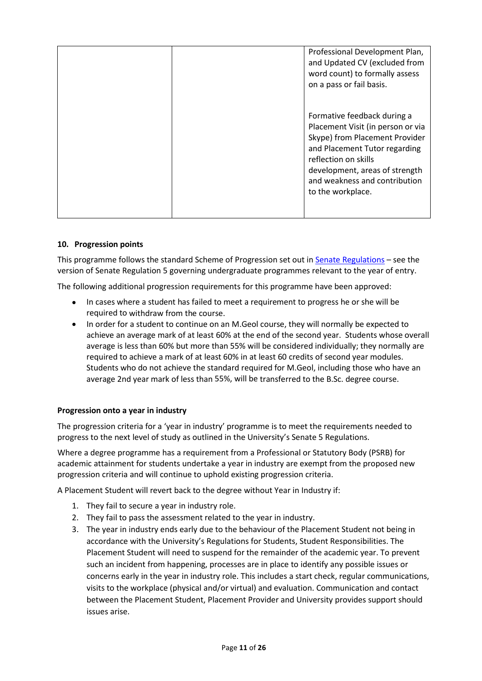| Professional Development Plan,<br>and Updated CV (excluded from<br>word count) to formally assess<br>on a pass or fail basis.                                                                                                                       |  |
|-----------------------------------------------------------------------------------------------------------------------------------------------------------------------------------------------------------------------------------------------------|--|
| Formative feedback during a<br>Placement Visit (in person or via<br>Skype) from Placement Provider<br>and Placement Tutor regarding<br>reflection on skills<br>development, areas of strength<br>and weakness and contribution<br>to the workplace. |  |

#### **10. Progression points**

This programme follows the standard Scheme of Progression set out i[n Senate Regulations](http://www.le.ac.uk/senate-regulations) – see the version of Senate Regulation 5 governing undergraduate programmes relevant to the year of entry.

The following additional progression requirements for this programme have been approved:

- In cases where a student has failed to meet a requirement to progress he or she will be required to withdraw from the course.
- In order for a student to continue on an M.Geol course, they will normally be expected to achieve an average mark of at least 60% at the end of the second year. Students whose overall average is less than 60% but more than 55% will be considered individually; they normally are required to achieve a mark of at least 60% in at least 60 credits of second year modules. Students who do not achieve the standard required for M.Geol, including those who have an average 2nd year mark of less than 55%, will be transferred to the B.Sc. degree course.

#### **Progression onto a year in industry**

The progression criteria for a 'year in industry' programme is to meet the requirements needed to progress to the next level of study as outlined in the University's Senate 5 Regulations.

Where a degree programme has a requirement from a Professional or Statutory Body (PSRB) for academic attainment for students undertake a year in industry are exempt from the proposed new progression criteria and will continue to uphold existing progression criteria.

A Placement Student will revert back to the degree without Year in Industry if:

- 1. They fail to secure a year in industry role.
- 2. They fail to pass the assessment related to the year in industry.
- 3. The year in industry ends early due to the behaviour of the Placement Student not being in accordance with the University's Regulations for Students, Student Responsibilities. The Placement Student will need to suspend for the remainder of the academic year. To prevent such an incident from happening, processes are in place to identify any possible issues or concerns early in the year in industry role. This includes a start check, regular communications, visits to the workplace (physical and/or virtual) and evaluation. Communication and contact between the Placement Student, Placement Provider and University provides support should issues arise.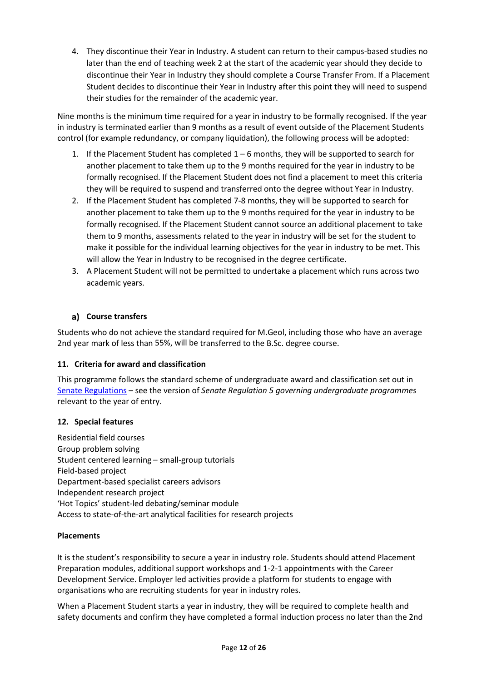4. They discontinue their Year in Industry. A student can return to their campus-based studies no later than the end of teaching week 2 at the start of the academic year should they decide to discontinue their Year in Industry they should complete a Course Transfer From. If a Placement Student decides to discontinue their Year in Industry after this point they will need to suspend their studies for the remainder of the academic year.

Nine months is the minimum time required for a year in industry to be formally recognised. If the year in industry is terminated earlier than 9 months as a result of event outside of the Placement Students control (for example redundancy, or company liquidation), the following process will be adopted:

- 1. If the Placement Student has completed 1 6 months, they will be supported to search for another placement to take them up to the 9 months required for the year in industry to be formally recognised. If the Placement Student does not find a placement to meet this criteria they will be required to suspend and transferred onto the degree without Year in Industry.
- 2. If the Placement Student has completed 7-8 months, they will be supported to search for another placement to take them up to the 9 months required for the year in industry to be formally recognised. If the Placement Student cannot source an additional placement to take them to 9 months, assessments related to the year in industry will be set for the student to make it possible for the individual learning objectives for the year in industry to be met. This will allow the Year in Industry to be recognised in the degree certificate.
- 3. A Placement Student will not be permitted to undertake a placement which runs across two academic years.

## **Course transfers**

Students who do not achieve the standard required for M.Geol, including those who have an average 2nd year mark of less than 55%, will be transferred to the B.Sc. degree course.

### **11. Criteria for award and classification**

This programme follows the standard scheme of undergraduate award and classification set out in [Senate Regulations](http://www.le.ac.uk/senate-regulations) – see the version of *Senate Regulation 5 governing undergraduate programmes* relevant to the year of entry.

#### **12. Special features**

Residential field courses Group problem solving Student centered learning – small-group tutorials Field-based project Department-based specialist careers advisors Independent research project 'Hot Topics' student-led debating/seminar module Access to state-of-the-art analytical facilities for research projects

#### **Placements**

It is the student's responsibility to secure a year in industry role. Students should attend Placement Preparation modules, additional support workshops and 1-2-1 appointments with the Career Development Service. Employer led activities provide a platform for students to engage with organisations who are recruiting students for year in industry roles.

When a Placement Student starts a year in industry, they will be required to complete health and safety documents and confirm they have completed a formal induction process no later than the 2nd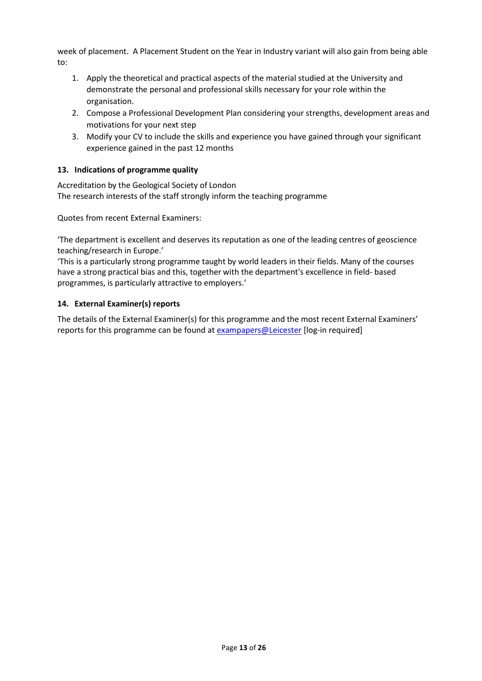week of placement. A Placement Student on the Year in Industry variant will also gain from being able to:

- 1. Apply the theoretical and practical aspects of the material studied at the University and demonstrate the personal and professional skills necessary for your role within the organisation.
- 2. Compose a Professional Development Plan considering your strengths, development areas and motivations for your next step
- 3. Modify your CV to include the skills and experience you have gained through your significant experience gained in the past 12 months

### **13. Indications of programme quality**

Accreditation by the Geological Society of London The research interests of the staff strongly inform the teaching programme

Quotes from recent External Examiners:

'The department is excellent and deserves its reputation as one of the leading centres of geoscience teaching/research in Europe.'

'This is a particularly strong programme taught by world leaders in their fields. Many of the courses have a strong practical bias and this, together with the department's excellence in field- based programmes, is particularly attractive to employers.'

## **14. External Examiner(s) reports**

The details of the External Examiner(s) for this programme and the most recent External Examiners' reports for this programme can be found at **[exampapers@Leicester](https://exampapers.le.ac.uk/)** [log-in required]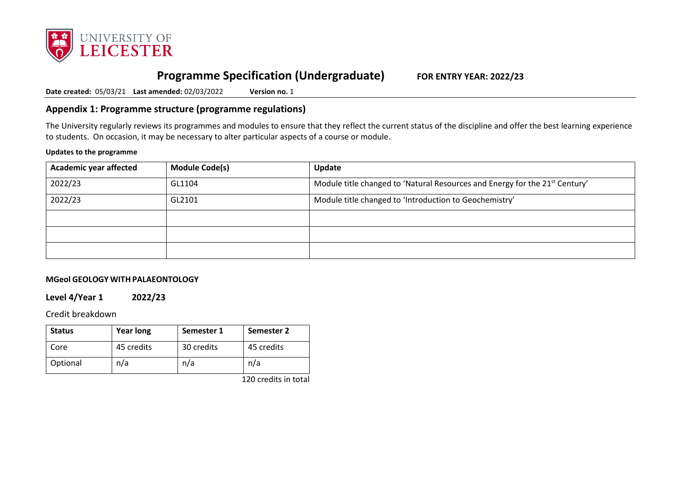

# **Programme Specification (Undergraduate) FOR ENTRY YEAR: 2022/23**

**Date created:** 05/03/21 **Last amended:** 02/03/2022 **Version no.** 1

# **Appendix 1: Programme structure (programme regulations)**

The University regularly reviews its programmes and modules to ensure that they reflect the current status of the discipline and offer the best learning experience to students. On occasion, it may be necessary to alter particular aspects of a course or module.

#### **Updates to the programme**

| <b>Academic year affected</b> | <b>Module Code(s)</b> | Update                                                                      |
|-------------------------------|-----------------------|-----------------------------------------------------------------------------|
| 2022/23                       | GL1104                | Module title changed to 'Natural Resources and Energy for the 21st Century' |
| 2022/23                       | GL2101                | Module title changed to 'Introduction to Geochemistry'                      |
|                               |                       |                                                                             |
|                               |                       |                                                                             |
|                               |                       |                                                                             |

#### **MGeol GEOLOGY WITH PALAEONTOLOGY**

### **Level 4/Year 1 2022/23**

Credit breakdown

| <b>Status</b> | <b>Year long</b> | Semester 1 | Semester 2 |
|---------------|------------------|------------|------------|
| Core          | 45 credits       | 30 credits | 45 credits |
| Optional      | n/a              | n/a        | n/a        |

120 credits in total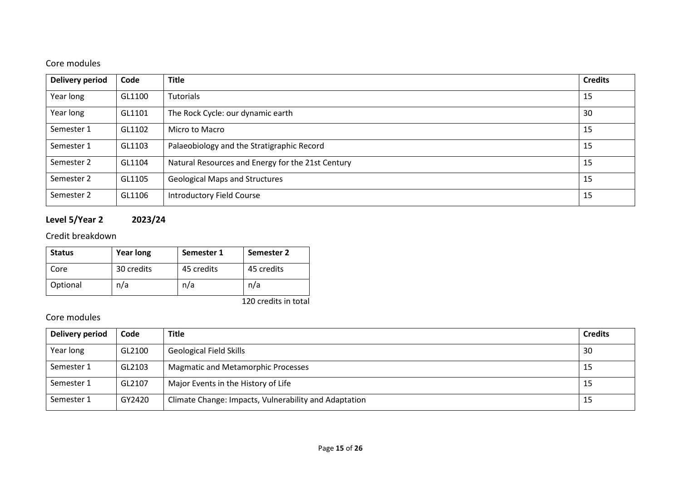# Core modules

| <b>Delivery period</b> | Code   | <b>Title</b>                                      | <b>Credits</b> |
|------------------------|--------|---------------------------------------------------|----------------|
| Year long              | GL1100 | Tutorials                                         | 15             |
| Year long              | GL1101 | The Rock Cycle: our dynamic earth                 | 30             |
| Semester 1             | GL1102 | Micro to Macro                                    | 15             |
| Semester 1             | GL1103 | Palaeobiology and the Stratigraphic Record        | 15             |
| Semester 2             | GL1104 | Natural Resources and Energy for the 21st Century | 15             |
| Semester 2             | GL1105 | <b>Geological Maps and Structures</b>             | 15             |
| Semester 2             | GL1106 | <b>Introductory Field Course</b>                  | 15             |

# **Level 5/Year 2 2023/24**

# Credit breakdown

| <b>Status</b> | <b>Year long</b> | Semester 1 | Semester 2             |
|---------------|------------------|------------|------------------------|
| Core          | 30 credits       | 45 credits | 45 credits             |
| Optional      | n/a              | n/a        | n/a                    |
|               |                  |            | $120$ aradita in tatal |

#### 120 credits in total

# Core modules

| Delivery period | Code   | <b>Title</b>                                          | <b>Credits</b> |
|-----------------|--------|-------------------------------------------------------|----------------|
| Year long       | GL2100 | <b>Geological Field Skills</b>                        | 30             |
| Semester 1      | GL2103 | <b>Magmatic and Metamorphic Processes</b>             | 15             |
| Semester 1      | GL2107 | Major Events in the History of Life                   | 15             |
| Semester 1      | GY2420 | Climate Change: Impacts, Vulnerability and Adaptation | -15            |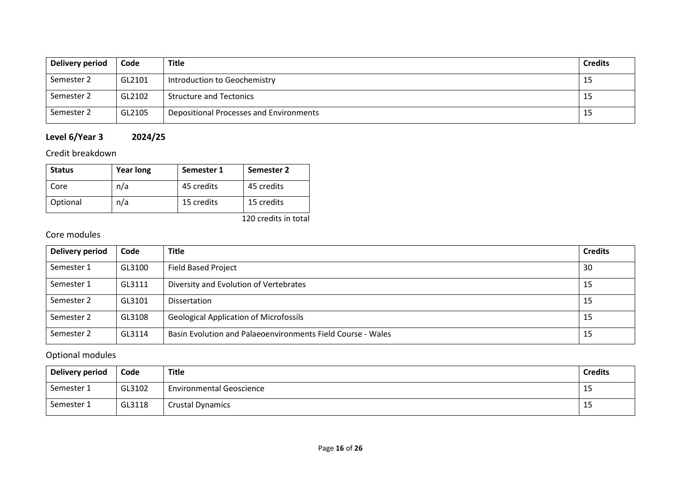| Delivery period | Code   | <b>Title</b>                            | <b>Credits</b> |
|-----------------|--------|-----------------------------------------|----------------|
| Semester 2      | GL2101 | Introduction to Geochemistry            | 15             |
| Semester 2      | GL2102 | <b>Structure and Tectonics</b>          | 15             |
| Semester 2      | GL2105 | Depositional Processes and Environments | 15             |

# **Level 6/Year 3 2024/25**

# Credit breakdown

| <b>Status</b> | <b>Year long</b> | Semester 1 | Semester 2 |
|---------------|------------------|------------|------------|
| Core          | n/a              | 45 credits | 45 credits |
| Optional      | n/a              | 15 credits | 15 credits |

120 credits in total

# Core modules

| Delivery period | Code   | <b>Title</b>                                                | <b>Credits</b> |
|-----------------|--------|-------------------------------------------------------------|----------------|
| Semester 1      | GL3100 | <b>Field Based Project</b>                                  | 30             |
| Semester 1      | GL3111 | Diversity and Evolution of Vertebrates                      | -15            |
| Semester 2      | GL3101 | <b>Dissertation</b>                                         | -15            |
| Semester 2      | GL3108 | <b>Geological Application of Microfossils</b>               | 15             |
| Semester 2      | GL3114 | Basin Evolution and Palaeoenvironments Field Course - Wales | 15             |

# Optional modules

| Delivery period | Code   | Title                           | <b>Credits</b> |
|-----------------|--------|---------------------------------|----------------|
| Semester 1      | GL3102 | <b>Environmental Geoscience</b> | ر 1            |
| Semester 1      | GL3118 | <b>Crustal Dynamics</b>         | ر د            |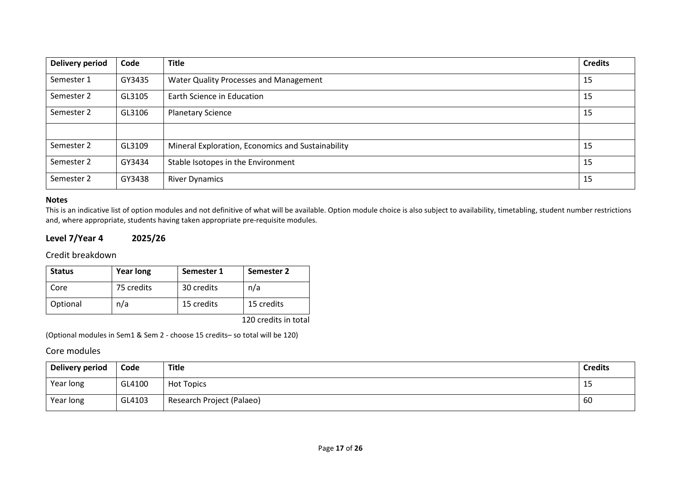| <b>Delivery period</b> | Code   | <b>Title</b>                                      | <b>Credits</b> |
|------------------------|--------|---------------------------------------------------|----------------|
| Semester 1             | GY3435 | Water Quality Processes and Management            | 15             |
| Semester 2             | GL3105 | Earth Science in Education                        | 15             |
| Semester 2             | GL3106 | <b>Planetary Science</b>                          | 15             |
|                        |        |                                                   |                |
| Semester 2             | GL3109 | Mineral Exploration, Economics and Sustainability | 15             |
| Semester 2             | GY3434 | Stable Isotopes in the Environment                | 15             |
| Semester 2             | GY3438 | <b>River Dynamics</b>                             | 15             |

#### **Notes**

This is an indicative list of option modules and not definitive of what will be available. Option module choice is also subject to availability, timetabling, student number restrictions and, where appropriate, students having taken appropriate pre-requisite modules.

#### **Level 7/Year 4 2025/26**

Credit breakdown

| <b>Status</b> | <b>Year long</b> | Semester 1 | Semester 2 |
|---------------|------------------|------------|------------|
| Core          | 75 credits       | 30 credits | n/a        |
| Optional      | n/a              | 15 credits | 15 credits |

120 credits in total

(Optional modules in Sem1 & Sem 2 - choose 15 credits– so total will be 120)

### Core modules

| Delivery period | Code   | <b>Title</b>              | <b>Credits</b> |
|-----------------|--------|---------------------------|----------------|
| Year long       | GL4100 | <b>Hot Topics</b>         | 15             |
| Year long       | GL4103 | Research Project (Palaeo) | 60             |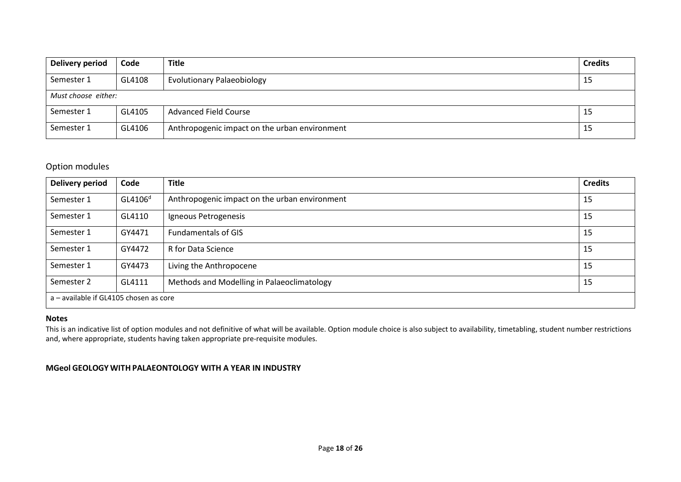| Delivery period | Code                | <b>Title</b>                                  | <b>Credits</b> |  |  |
|-----------------|---------------------|-----------------------------------------------|----------------|--|--|
| Semester 1      | GL4108              | <b>Evolutionary Palaeobiology</b>             | 15             |  |  |
|                 | Must choose either: |                                               |                |  |  |
| Semester 1      | GL4105              | <b>Advanced Field Course</b>                  | 15             |  |  |
| Semester 1      | GL4106              | Anthropogenic impact on the urban environment | 15             |  |  |

## Option modules

| Delivery period                        | Code                | <b>Title</b>                                  | <b>Credits</b> |  |
|----------------------------------------|---------------------|-----------------------------------------------|----------------|--|
| Semester 1                             | GL4106 <sup>d</sup> | Anthropogenic impact on the urban environment | 15             |  |
| Semester 1                             | GL4110              | Igneous Petrogenesis                          | 15             |  |
| Semester 1                             | GY4471              | <b>Fundamentals of GIS</b>                    | 15             |  |
| Semester 1                             | GY4472              | R for Data Science                            | 15             |  |
| Semester 1                             | GY4473              | Living the Anthropocene                       | 15             |  |
| Semester 2                             | GL4111              | Methods and Modelling in Palaeoclimatology    | 15             |  |
| a - available if GL4105 chosen as core |                     |                                               |                |  |

#### **Notes**

This is an indicative list of option modules and not definitive of what will be available. Option module choice is also subject to availability, timetabling, student number restrictions and, where appropriate, students having taken appropriate pre-requisite modules.

#### **MGeol GEOLOGY WITH PALAEONTOLOGY WITH A YEAR IN INDUSTRY**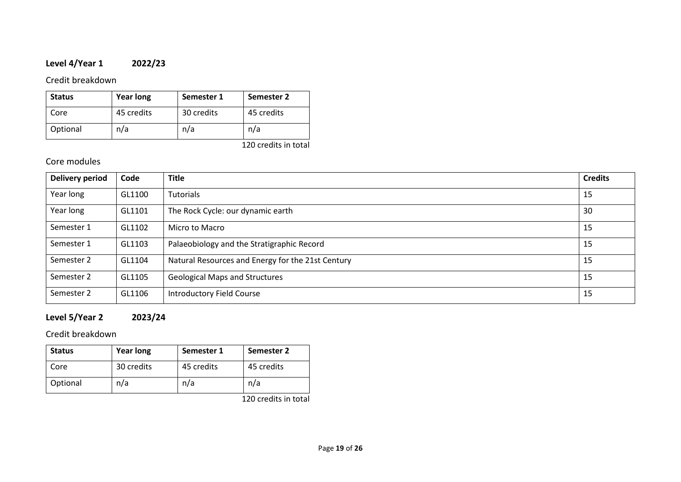# **Level 4/Year 1 2022/23**

### Credit breakdown

| <b>Status</b> | <b>Year long</b> | Semester 1 | Semester 2 |
|---------------|------------------|------------|------------|
| Core          | 45 credits       | 30 credits | 45 credits |
| Optional      | n/a              | n/a        | n/a        |

120 credits in total

# Core modules

| <b>Delivery period</b> | Code   | <b>Title</b>                                      | <b>Credits</b> |
|------------------------|--------|---------------------------------------------------|----------------|
| Year long              | GL1100 | Tutorials                                         | 15             |
| Year long              | GL1101 | The Rock Cycle: our dynamic earth                 | 30             |
| Semester 1             | GL1102 | Micro to Macro                                    | 15             |
| Semester 1             | GL1103 | Palaeobiology and the Stratigraphic Record        | 15             |
| Semester 2             | GL1104 | Natural Resources and Energy for the 21st Century | 15             |
| Semester 2             | GL1105 | <b>Geological Maps and Structures</b>             | 15             |
| Semester 2             | GL1106 | <b>Introductory Field Course</b>                  | 15             |

# **Level 5/Year 2 2023/24**

Credit breakdown

| <b>Status</b> | <b>Year long</b> | Semester 1 | Semester 2 |
|---------------|------------------|------------|------------|
| Core          | 30 credits       | 45 credits | 45 credits |
| Optional      | n/a              | n/a        | n/a        |

120 credits in total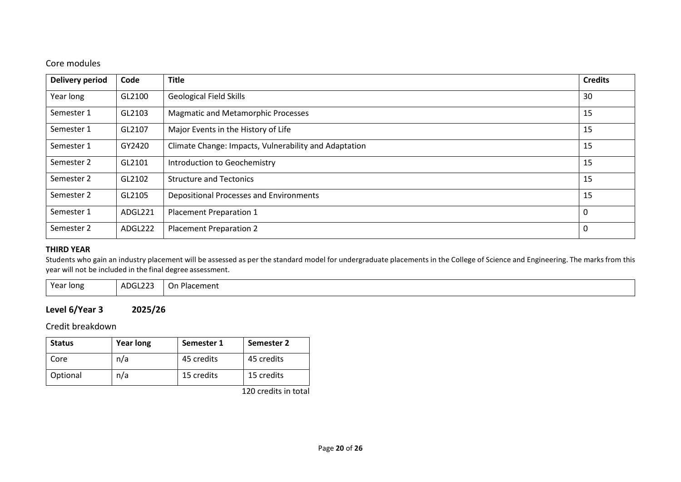# Core modules

| <b>Delivery period</b> | Code    | <b>Title</b>                                          | <b>Credits</b> |
|------------------------|---------|-------------------------------------------------------|----------------|
| Year long              | GL2100  | <b>Geological Field Skills</b>                        | 30             |
| Semester 1             | GL2103  | <b>Magmatic and Metamorphic Processes</b>             | 15             |
| Semester 1             | GL2107  | Major Events in the History of Life                   | 15             |
| Semester 1             | GY2420  | Climate Change: Impacts, Vulnerability and Adaptation | 15             |
| Semester 2             | GL2101  | Introduction to Geochemistry                          | 15             |
| Semester 2             | GL2102  | <b>Structure and Tectonics</b>                        | 15             |
| Semester 2             | GL2105  | <b>Depositional Processes and Environments</b>        | 15             |
| Semester 1             | ADGL221 | <b>Placement Preparation 1</b>                        | $\mathbf 0$    |
| Semester 2             | ADGL222 | <b>Placement Preparation 2</b>                        | 0              |

#### **THIRD YEAR**

Students who gain an industry placement will be assessed as per the standard model for undergraduate placements in the College of Science and Engineering. The marks from this year will not be included in the final degree assessment.

| Year long | ADGL223 | Placement<br>On. |
|-----------|---------|------------------|
|           |         |                  |

# **Level 6/Year 3 2025/26**

Credit breakdown

| <b>Status</b> | <b>Year long</b> | Semester 1 | Semester 2 |
|---------------|------------------|------------|------------|
| Core          | n/a              | 45 credits | 45 credits |
| Optional      | n/a              | 15 credits | 15 credits |

120 credits in total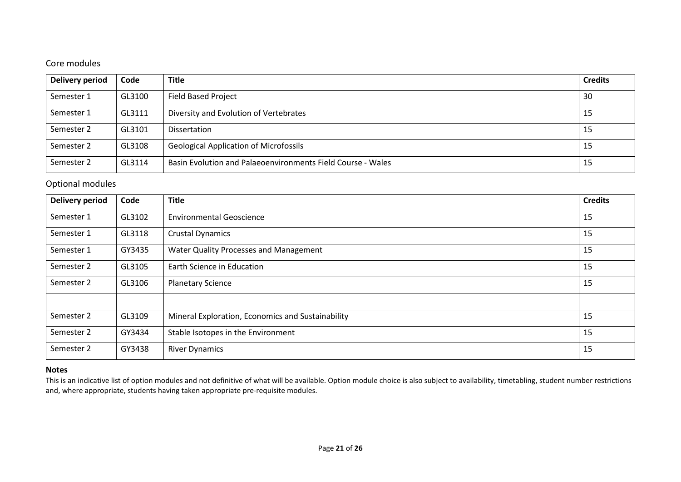# Core modules

| Delivery period | Code   | <b>Title</b>                                                | <b>Credits</b> |
|-----------------|--------|-------------------------------------------------------------|----------------|
| Semester 1      | GL3100 | <b>Field Based Project</b>                                  | -30            |
| Semester 1      | GL3111 | Diversity and Evolution of Vertebrates                      | 15             |
| Semester 2      | GL3101 | <b>Dissertation</b>                                         | 15             |
| Semester 2      | GL3108 | <b>Geological Application of Microfossils</b>               | 15             |
| Semester 2      | GL3114 | Basin Evolution and Palaeoenvironments Field Course - Wales | 15             |

# Optional modules

| <b>Delivery period</b> | Code   | <b>Title</b>                                      | <b>Credits</b> |
|------------------------|--------|---------------------------------------------------|----------------|
| Semester 1             | GL3102 | <b>Environmental Geoscience</b>                   | 15             |
| Semester 1             | GL3118 | <b>Crustal Dynamics</b>                           | 15             |
| Semester 1             | GY3435 | Water Quality Processes and Management            | 15             |
| Semester 2             | GL3105 | Earth Science in Education                        | 15             |
| Semester 2             | GL3106 | <b>Planetary Science</b>                          | 15             |
|                        |        |                                                   |                |
| Semester 2             | GL3109 | Mineral Exploration, Economics and Sustainability | 15             |
| Semester 2             | GY3434 | Stable Isotopes in the Environment                | 15             |
| Semester 2             | GY3438 | <b>River Dynamics</b>                             | 15             |

### **Notes**

This is an indicative list of option modules and not definitive of what will be available. Option module choice is also subject to availability, timetabling, student number restrictions and, where appropriate, students having taken appropriate pre-requisite modules.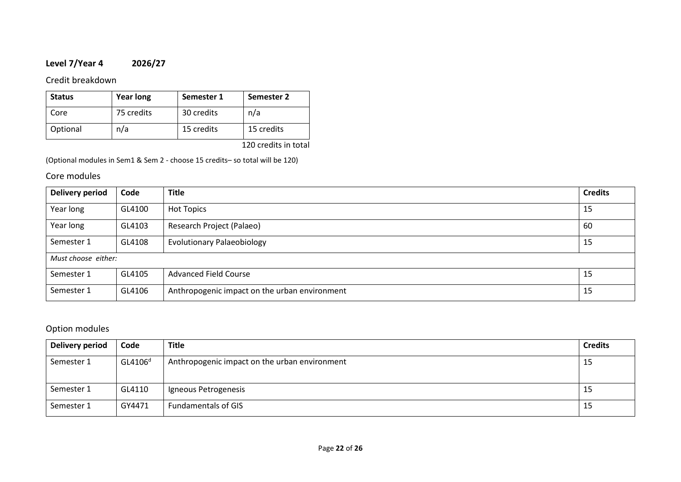# **Level 7/Year 4 2026/27**

Credit breakdown

| <b>Status</b> | <b>Year long</b> | Semester 1 | Semester 2 |
|---------------|------------------|------------|------------|
| Core          | 75 credits       | 30 credits | n/a        |
| Optional      | n/a              | 15 credits | 15 credits |

120 credits in total

(Optional modules in Sem1 & Sem 2 - choose 15 credits– so total will be 120)

### Core modules

| Delivery period | Code                | <b>Title</b>                                  | <b>Credits</b> |  |
|-----------------|---------------------|-----------------------------------------------|----------------|--|
| Year long       | GL4100              | <b>Hot Topics</b>                             | 15             |  |
| Year long       | GL4103              | Research Project (Palaeo)                     | 60             |  |
| Semester 1      | GL4108              | <b>Evolutionary Palaeobiology</b>             | 15             |  |
|                 | Must choose either: |                                               |                |  |
| Semester 1      | GL4105              | <b>Advanced Field Course</b>                  | 15             |  |
| Semester 1      | GL4106              | Anthropogenic impact on the urban environment | 15             |  |

# Option modules

| Delivery period | Code                | <b>Title</b>                                  | <b>Credits</b> |
|-----------------|---------------------|-----------------------------------------------|----------------|
| Semester 1      | GL4106 <sup>d</sup> | Anthropogenic impact on the urban environment | 15             |
| Semester 1      | GL4110              | Igneous Petrogenesis                          | 15             |
| Semester 1      | GY4471              | <b>Fundamentals of GIS</b>                    | 15             |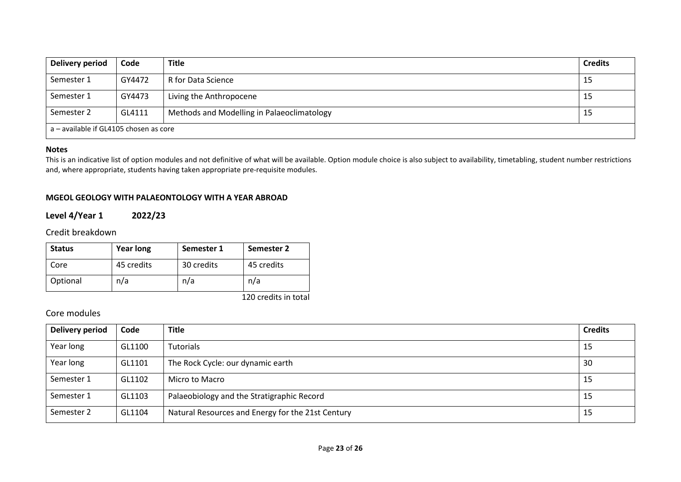| <b>Delivery period</b>                 | Code   | <b>Title</b>                               | <b>Credits</b> |
|----------------------------------------|--------|--------------------------------------------|----------------|
| Semester 1                             | GY4472 | R for Data Science                         | 15             |
| Semester 1                             | GY4473 | Living the Anthropocene                    | -15            |
| Semester 2                             | GL4111 | Methods and Modelling in Palaeoclimatology | 15             |
| a – available if GL4105 chosen as core |        |                                            |                |

#### **Notes**

This is an indicative list of option modules and not definitive of what will be available. Option module choice is also subject to availability, timetabling, student number restrictions and, where appropriate, students having taken appropriate pre-requisite modules.

#### **MGEOL GEOLOGY WITH PALAEONTOLOGY WITH A YEAR ABROAD**

# **Level 4/Year 1 2022/23**

## Credit breakdown

| <b>Status</b> | <b>Year long</b> | Semester 1 | Semester 2           |
|---------------|------------------|------------|----------------------|
| Core          | 45 credits       | 30 credits | 45 credits           |
| Optional      | n/a              | n/a        | n/a                  |
|               |                  |            | 120 credits in total |

### Core modules

| Delivery period | Code   | <b>Title</b>                                      | <b>Credits</b> |
|-----------------|--------|---------------------------------------------------|----------------|
| Year long       | GL1100 | <b>Tutorials</b>                                  | 15             |
| Year long       | GL1101 | The Rock Cycle: our dynamic earth                 | 30             |
| Semester 1      | GL1102 | Micro to Macro                                    | 15             |
| Semester 1      | GL1103 | Palaeobiology and the Stratigraphic Record        | 15             |
| Semester 2      | GL1104 | Natural Resources and Energy for the 21st Century | 15             |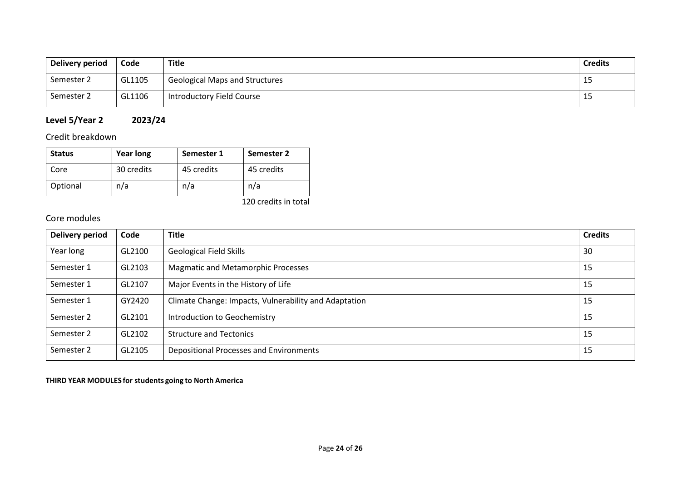| Delivery period | Code   | <b>Title</b>                          | <b>Credits</b> |
|-----------------|--------|---------------------------------------|----------------|
| Semester 2      | GL1105 | <b>Geological Maps and Structures</b> | ر 1            |
| Semester 2      | GL1106 | Introductory Field Course             | ر د            |

# **Level 5/Year 2 2023/24**

## Credit breakdown

| <b>Status</b> | <b>Year long</b> | Semester 1 | Semester 2 |
|---------------|------------------|------------|------------|
| Core          | 30 credits       | 45 credits | 45 credits |
| Optional      | n/a              | n/a        | n/a        |

120 credits in total

# Core modules

| <b>Delivery period</b> | Code   | <b>Title</b>                                          | <b>Credits</b> |
|------------------------|--------|-------------------------------------------------------|----------------|
| Year long              | GL2100 | <b>Geological Field Skills</b>                        | 30             |
| Semester 1             | GL2103 | <b>Magmatic and Metamorphic Processes</b>             | 15             |
| Semester 1             | GL2107 | Major Events in the History of Life                   | 15             |
| Semester 1             | GY2420 | Climate Change: Impacts, Vulnerability and Adaptation | 15             |
| Semester 2             | GL2101 | Introduction to Geochemistry                          | 15             |
| Semester 2             | GL2102 | <b>Structure and Tectonics</b>                        | 15             |
| Semester 2             | GL2105 | Depositional Processes and Environments               | 15             |

#### **THIRD YEAR MODULES for students going to North America**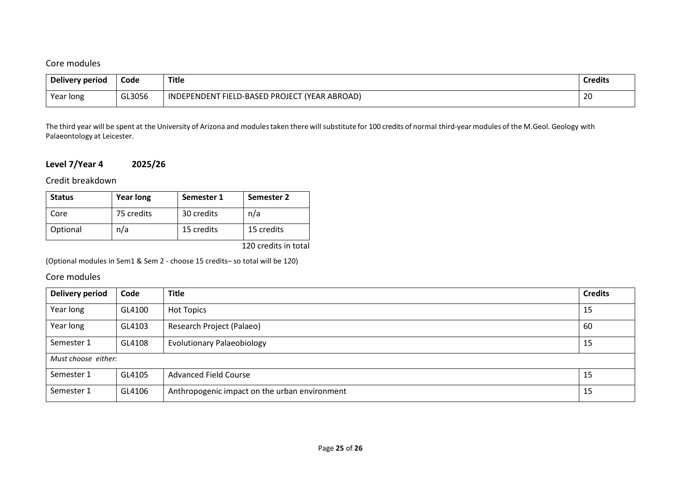# Core modules

| <b>Delivery period</b> | Code   | <b>Title</b>                                  | <b>Credit:</b> |
|------------------------|--------|-----------------------------------------------|----------------|
| Year long              | GL3056 | INDEPENDENT FIELD-BASED PROJECT (YEAR ABROAD) | ົາດ<br>∠∪      |

The third year will be spent at the University of Arizona and modules taken there will substitute for 100 credits of normal third-year modules of the M.Geol. Geology with Palaeontology at Leicester.

## **Level 7/Year 4 2025/26**

Credit breakdown

| <b>Status</b> | <b>Year long</b> | Semester 1 | Semester 2           |
|---------------|------------------|------------|----------------------|
| Core          | 75 credits       | 30 credits | n/a                  |
| Optional      | n/a              | 15 credits | 15 credits           |
|               |                  |            | 120 credits in total |

(Optional modules in Sem1 & Sem 2 - choose 15 credits– so total will be 120)

### Core modules

| <b>Delivery period</b> | Code   | <b>Title</b>                                  | <b>Credits</b> |
|------------------------|--------|-----------------------------------------------|----------------|
| Year long              | GL4100 | <b>Hot Topics</b>                             | 15             |
| Year long              | GL4103 | Research Project (Palaeo)                     | 60             |
| Semester 1             | GL4108 | <b>Evolutionary Palaeobiology</b>             | 15             |
| Must choose either:    |        |                                               |                |
| Semester 1             | GL4105 | <b>Advanced Field Course</b>                  | 15             |
| Semester 1             | GL4106 | Anthropogenic impact on the urban environment | 15             |